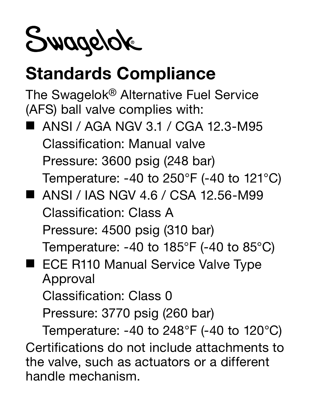Swagelok

## Standards Compliance

The Swagelok® Alternative Fuel Service (AFS) ball valve complies with:

- ANSI / AGA NGV 3.1 / CGA 12.3-M95 Classification: Manual valve Pressure: 3600 psig (248 bar) Temperature: -40 to 250°F (-40 to 121°C)
- ANSI / IAS NGV 4 6 / CSA 12.56-M99 Classification: Class A Pressure: 4500 psig (310 bar)

Temperature: -40 to 185°F (-40 to 85°C)

■ ECE R110 Manual Service Valve Type Approval

Classification: Class 0

Pressure: 3770 psig (260 bar)

Temperature: -40 to 248°F (-40 to 120°C) Certifications do not include attachments to the valve, such as actuators or a different handle mechanism.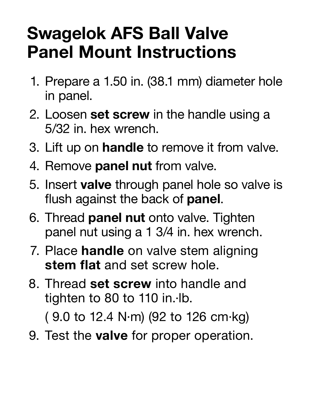## Swagelok AFS Ball Valve Panel Mount Instructions

- 1. Prepare a 1.50 in. (38.1 mm) diameter hole in panel.
- 2. Loosen set screw in the handle using a 5/32 in. hex wrench.
- 3. Lift up on handle to remove it from valve.
- 4. Remove panel nut from valve.
- 5. Insert valve through panel hole so valve is flush against the back of **panel**.
- 6. Thread panel nut onto valve. Tighten panel nut using a 1 3/4 in. hex wrench.
- 7. Place **handle** on valve stem aligning stem flat and set screw hole.
- 8. Thread set screw into handle and tighten to 80 to 110 in.∙lb.

( 9.0 to 12.4 N∙m) (92 to 126 cm∙kg)

9. Test the valve for proper operation.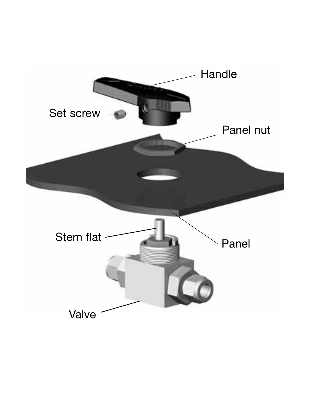